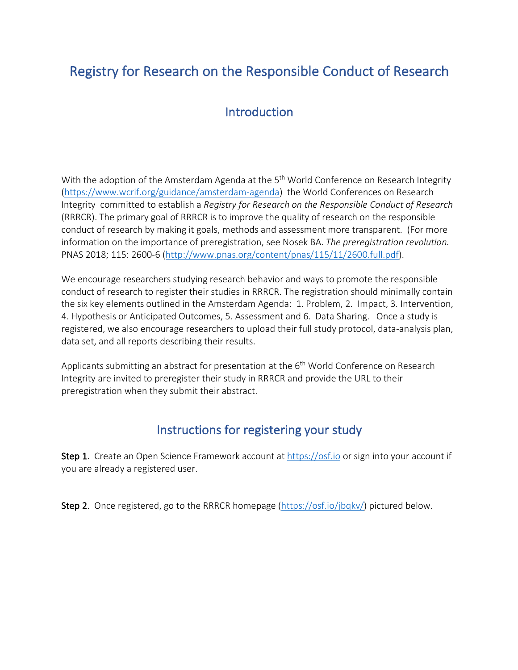# Registry for Research on the Responsible Conduct of Research

# **Introduction**

With the adoption of the Amsterdam Agenda at the 5<sup>th</sup> World Conference on Research Integrity (https://www.wcrif.org/guidance/amsterdam-agenda) the World Conferences on Research Integrity committed to establish a *Registry for Research on the Responsible Conduct of Research* (RRRCR). The primary goal of RRRCR is to improve the quality of research on the responsible conduct of research by making it goals, methods and assessment more transparent. (For more information on the importance of preregistration, see Nosek BA. *The preregistration revolution.* PNAS 2018; 115: 2600-6 (http://www.pnas.org/content/pnas/115/11/2600.full.pdf).

We encourage researchers studying research behavior and ways to promote the responsible conduct of research to register their studies in RRRCR. The registration should minimally contain the six key elements outlined in the Amsterdam Agenda: 1. Problem, 2. Impact, 3. Intervention, 4. Hypothesis or Anticipated Outcomes, 5. Assessment and 6. Data Sharing. Once a study is registered, we also encourage researchers to upload their full study protocol, data-analysis plan, data set, and all reports describing their results.

Applicants submitting an abstract for presentation at the  $6<sup>th</sup>$  World Conference on Research Integrity are invited to preregister their study in RRRCR and provide the URL to their preregistration when they submit their abstract.

## Instructions for registering your study

Step 1. Create an Open Science Framework account at https://osf.io or sign into your account if you are already a registered user.

Step 2. Once registered, go to the RRRCR homepage (https://osf.io/jbqkv/) pictured below.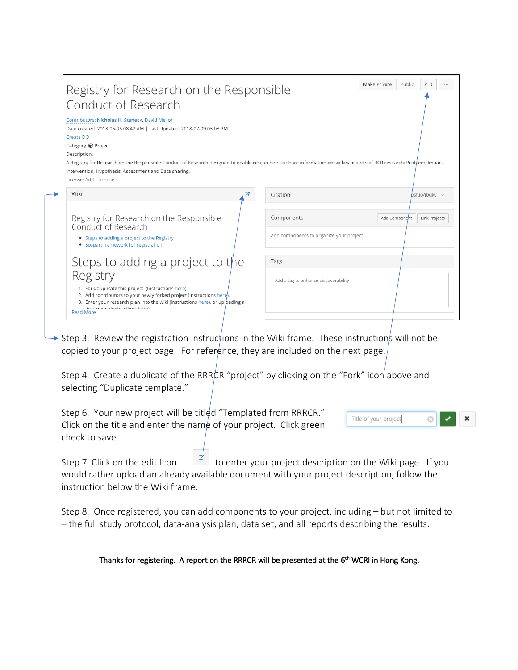| Conduct of Research<br>Contributors: Nicholas H. Steneck, David Mellor<br>Date created: 2018-05-05 08:42 AM   Last Updated: 2018-07-09 03:08 PM<br>Create DOI<br>Category: @ Project<br>Description:<br>A Registry for Research on the Responsible Conduct of Research designed to enable researchers to share information on six key aspects of RCR research: Problem, Impact,<br>Intervention, Hypothesis, Assessment and Data sharing.<br>License: Add a license |                                          |
|---------------------------------------------------------------------------------------------------------------------------------------------------------------------------------------------------------------------------------------------------------------------------------------------------------------------------------------------------------------------------------------------------------------------------------------------------------------------|------------------------------------------|
| Wiki                                                                                                                                                                                                                                                                                                                                                                                                                                                                | Citation                                 |
| ☑                                                                                                                                                                                                                                                                                                                                                                                                                                                                   | $bsf.io/ibqkv \sim$                      |
| Registry for Research on the Responsible                                                                                                                                                                                                                                                                                                                                                                                                                            | Components                               |
| Conduct of Research                                                                                                                                                                                                                                                                                                                                                                                                                                                 | Add Component                            |
| • Steps to adding a project to the Registry                                                                                                                                                                                                                                                                                                                                                                                                                         | Link Projects                            |
| • Six-part framework for registration                                                                                                                                                                                                                                                                                                                                                                                                                               | Add components to organize your project. |
|                                                                                                                                                                                                                                                                                                                                                                                                                                                                     | Tags                                     |

Step 3. Review the registration instructions in the Wiki frame. These instructions will not be copied to your project page. For reference, they are included on the next page.

Step 4. Create a duplicate of the RRRCR "project" by clicking on the "Fork" icon above and selecting "Duplicate template."

Step 6. Your new project will be titled "Templated from RRRCR." Title of your project × 0 Click on the title and enter the name of your project. Click green check to save.

Step 7. Click on the edit Icon  $\begin{bmatrix} \mathcal{B} \\ \mathcal{C} \end{bmatrix}$  to enter your project description on the Wiki page. If you would rather upload an already available document with your project description, follow the instruction below the Wiki frame.

Step 8. Once registered, you can add components to your project, including – but not limited to – the full study protocol, data-analysis plan, data set, and all reports describing the results.

## Thanks for registering. A report on the RRRCR will be presented at the 6<sup>th</sup> WCRI in Hong Kong.